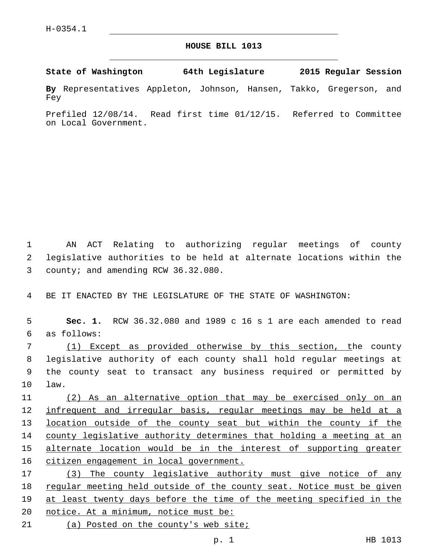## **HOUSE BILL 1013**

**State of Washington 64th Legislature 2015 Regular Session**

**By** Representatives Appleton, Johnson, Hansen, Takko, Gregerson, and Fey

Prefiled 12/08/14. Read first time 01/12/15. Referred to Committee on Local Government.

1 AN ACT Relating to authorizing regular meetings of county 2 legislative authorities to be held at alternate locations within the 3 county; and amending RCW 36.32.080.

4 BE IT ENACTED BY THE LEGISLATURE OF THE STATE OF WASHINGTON:

5 **Sec. 1.** RCW 36.32.080 and 1989 c 16 s 1 are each amended to read as follows:6

 (1) Except as provided otherwise by this section, the county legislative authority of each county shall hold regular meetings at the county seat to transact any business required or permitted by 10 law.

 (2) As an alternative option that may be exercised only on an 12 infrequent and irregular basis, regular meetings may be held at a location outside of the county seat but within the county if the county legislative authority determines that holding a meeting at an alternate location would be in the interest of supporting greater citizen engagement in local government.

17 (3) The county legislative authority must give notice of any 18 regular meeting held outside of the county seat. Notice must be given 19 at least twenty days before the time of the meeting specified in the 20 notice. At a minimum, notice must be: 21 (a) Posted on the county's web site;